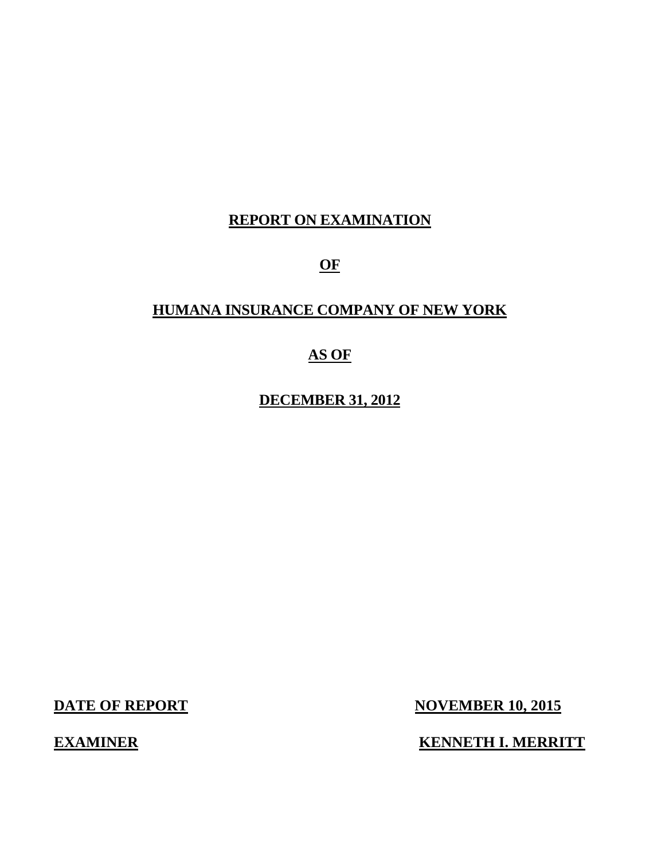## **REPORT ON EXAMINATION**

**OF** 

## **HUMANA INSURANCE COMPANY OF NEW YORK**

## **AS OF**

**DECEMBER 31, 2012** 

**DATE OF REPORT NOVEMBER 10, 2015** 

**EXAMINER KENNETH I. MERRITT**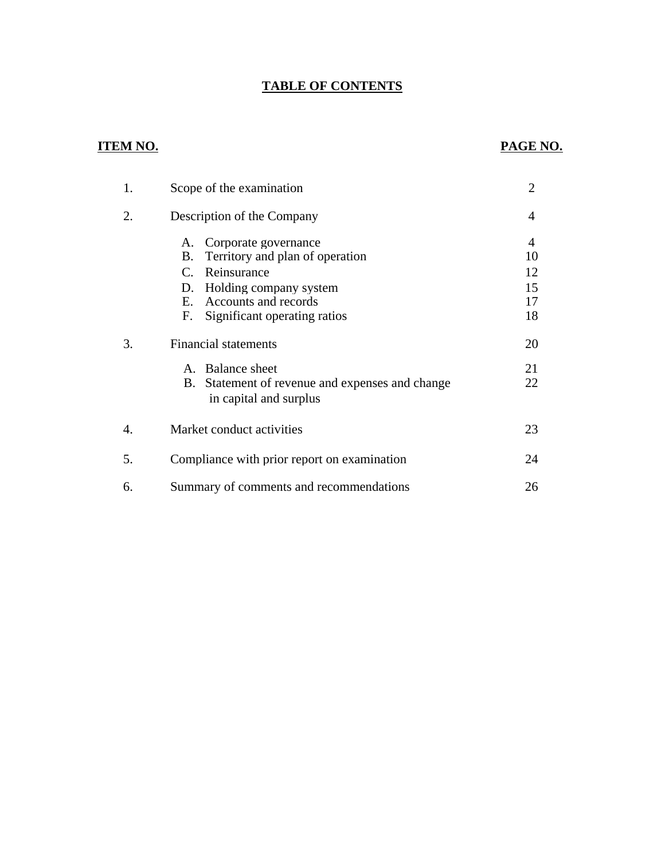## **TABLE OF CONTENTS**

## **ITEM NO. PAGE NO.**

| 1. | Scope of the examination                                                                                                                                                                  | $\overline{2}$                  |
|----|-------------------------------------------------------------------------------------------------------------------------------------------------------------------------------------------|---------------------------------|
| 2. | Description of the Company                                                                                                                                                                | 4                               |
|    | A. Corporate governance<br>Territory and plan of operation<br>В.<br>Reinsurance<br>C.<br>Holding company system<br>D.<br>Accounts and records<br>E.<br>Significant operating ratios<br>F. | 4<br>10<br>12<br>15<br>17<br>18 |
| 3. | <b>Financial statements</b>                                                                                                                                                               | 20                              |
|    | <b>Balance sheet</b><br>$A_{-}$<br>Statement of revenue and expenses and change<br>В.<br>in capital and surplus                                                                           | 21<br>22                        |
| 4. | Market conduct activities                                                                                                                                                                 | 23                              |
| 5. | Compliance with prior report on examination                                                                                                                                               | 24                              |
| 6. | Summary of comments and recommendations                                                                                                                                                   | 26                              |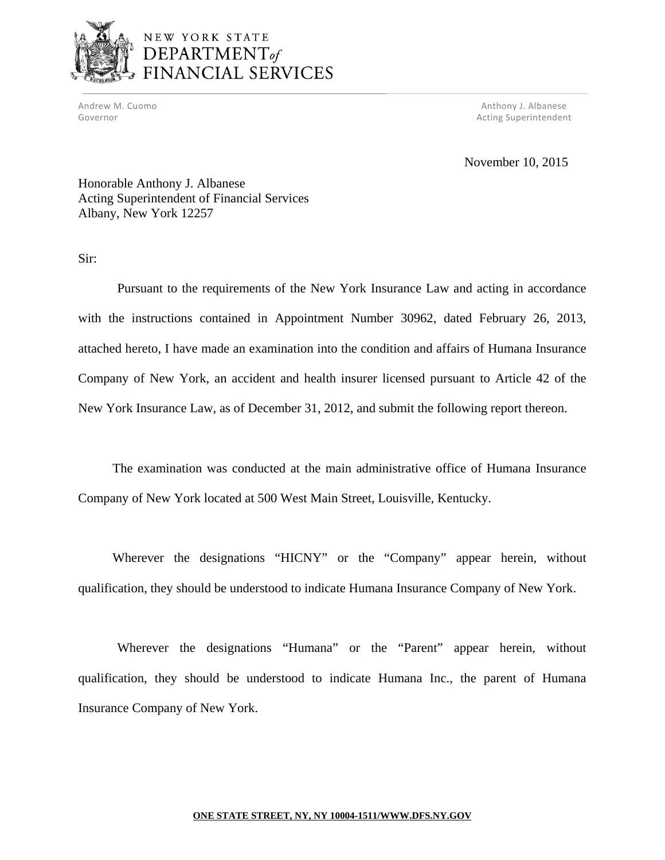

Andrew M. Cuomo **Anthony 1. Albanese** Anthony J. Albanese Governor **Acting Superintendent Contains a Superintendent Acting Superintendent** 

November 10, 2015

Honorable Anthony J. Albanese Acting Superintendent of Financial Services Albany, New York 12257

Sir:

Pursuant to the requirements of the New York Insurance Law and acting in accordance with the instructions contained in Appointment Number 30962, dated February 26, 2013, attached hereto, I have made an examination into the condition and affairs of Humana Insurance Company of New York, an accident and health insurer licensed pursuant to Article 42 of the New York Insurance Law, as of December 31, 2012, and submit the following report thereon.

The examination was conducted at the main administrative office of Humana Insurance Company of New York located at 500 West Main Street, Louisville, Kentucky.

Wherever the designations "HICNY" or the "Company" appear herein, without qualification, they should be understood to indicate Humana Insurance Company of New York.

Wherever the designations "Humana" or the "Parent" appear herein, without qualification, they should be understood to indicate Humana Inc., the parent of Humana Insurance Company of New York.

#### **ONE STATE STREET, NY, NY [10004-1511/WWW.DFS.NY.GOV](https://10004-1511/WWW.DFS.NY.GOV)**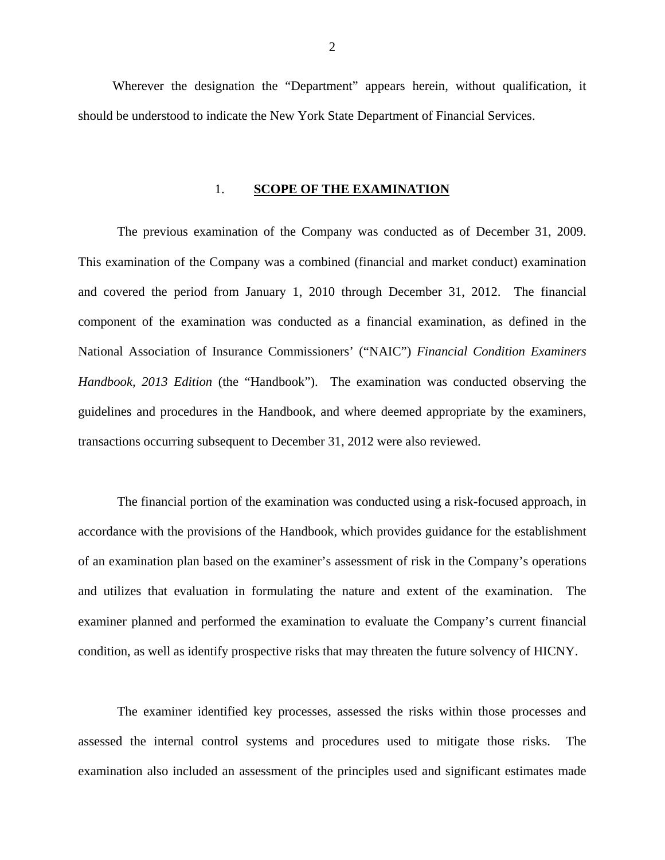Wherever the designation the "Department" appears herein, without qualification, it should be understood to indicate the New York State Department of Financial Services.

#### 1. **SCOPE OF THE EXAMINATION**

The previous examination of the Company was conducted as of December 31, 2009. This examination of the Company was a combined (financial and market conduct) examination and covered the period from January 1, 2010 through December 31, 2012. The financial component of the examination was conducted as a financial examination, as defined in the National Association of Insurance Commissioners' ("NAIC") *Financial Condition Examiners Handbook, 2013 Edition* (the "Handbook"). The examination was conducted observing the guidelines and procedures in the Handbook, and where deemed appropriate by the examiners, transactions occurring subsequent to December 31, 2012 were also reviewed.

The financial portion of the examination was conducted using a risk-focused approach, in accordance with the provisions of the Handbook, which provides guidance for the establishment of an examination plan based on the examiner's assessment of risk in the Company's operations and utilizes that evaluation in formulating the nature and extent of the examination. The examiner planned and performed the examination to evaluate the Company's current financial condition, as well as identify prospective risks that may threaten the future solvency of HICNY.

The examiner identified key processes, assessed the risks within those processes and assessed the internal control systems and procedures used to mitigate those risks. The examination also included an assessment of the principles used and significant estimates made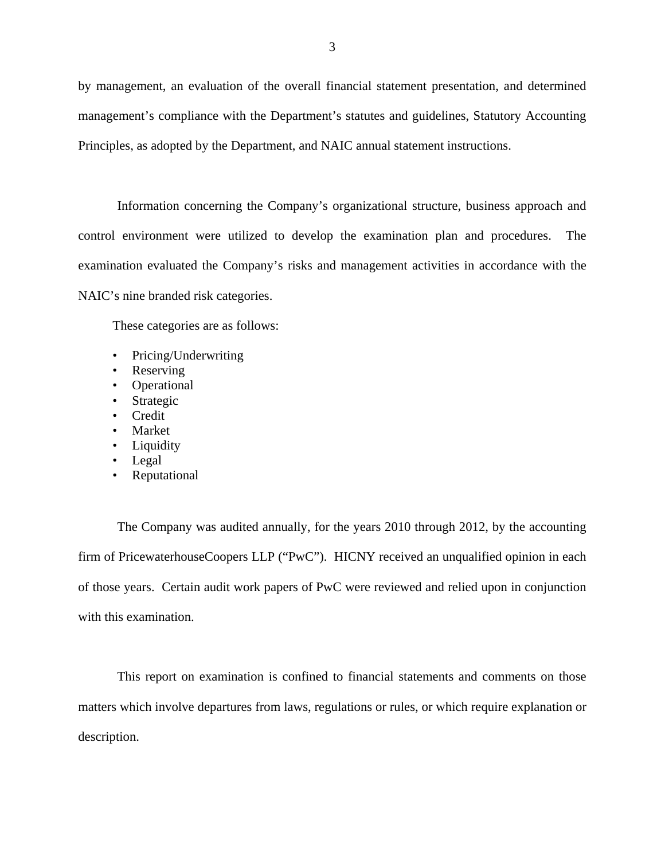by management, an evaluation of the overall financial statement presentation, and determined management's compliance with the Department's statutes and guidelines, Statutory Accounting Principles, as adopted by the Department, and NAIC annual statement instructions.

Information concerning the Company's organizational structure, business approach and control environment were utilized to develop the examination plan and procedures. The examination evaluated the Company's risks and management activities in accordance with the NAIC's nine branded risk categories.

These categories are as follows:

- Pricing/Underwriting
- Reserving
- Operational
- **Strategic**
- Credit
- **Market**
- Liquidity
- Legal
- Reputational

The Company was audited annually, for the years 2010 through 2012, by the accounting firm of PricewaterhouseCoopers LLP ("PwC"). HICNY received an unqualified opinion in each of those years. Certain audit work papers of PwC were reviewed and relied upon in conjunction with this examination.

This report on examination is confined to financial statements and comments on those matters which involve departures from laws, regulations or rules, or which require explanation or description.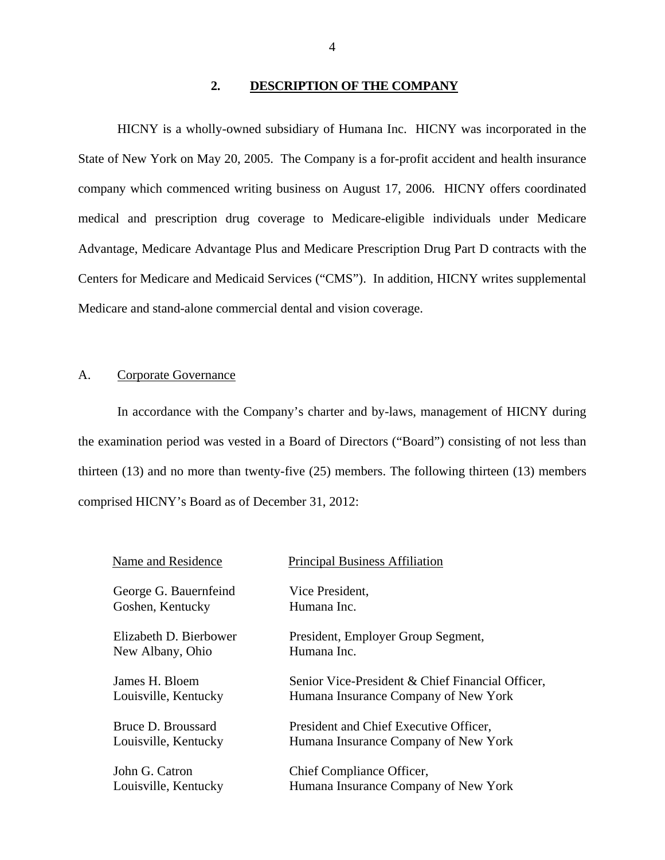#### **2. DESCRIPTION OF THE COMPANY**

<span id="page-5-0"></span>HICNY is a wholly-owned subsidiary of Humana Inc. HICNY was incorporated in the State of New York on May 20, 2005. The Company is a for-profit accident and health insurance company which commenced writing business on August 17, 2006. HICNY offers coordinated medical and prescription drug coverage to Medicare-eligible individuals under Medicare Advantage, Medicare Advantage Plus and Medicare Prescription Drug Part D contracts with the Centers for Medicare and Medicaid Services ("CMS"). In addition, HICNY writes supplemental Medicare and stand-alone commercial dental and vision coverage.

## A. Corporate Governance

In accordance with the Company's charter and by-laws, management of HICNY during the examination period was vested in a Board of Directors ("Board") consisting of not less than thirteen (13) and no more than twenty-five (25) members. The following thirteen (13) members comprised HICNY's Board as of December 31, 2012:

| Name and Residence     | <b>Principal Business Affiliation</b>            |
|------------------------|--------------------------------------------------|
| George G. Bauernfeind  | Vice President,                                  |
| Goshen, Kentucky       | Humana Inc.                                      |
| Elizabeth D. Bierbower | President, Employer Group Segment,               |
| New Albany, Ohio       | Humana Inc.                                      |
| James H. Bloem         | Senior Vice-President & Chief Financial Officer, |
| Louisville, Kentucky   | Humana Insurance Company of New York             |
| Bruce D. Broussard     | President and Chief Executive Officer,           |
| Louisville, Kentucky   | Humana Insurance Company of New York             |
| John G. Catron         | Chief Compliance Officer,                        |
| Louisville, Kentucky   | Humana Insurance Company of New York             |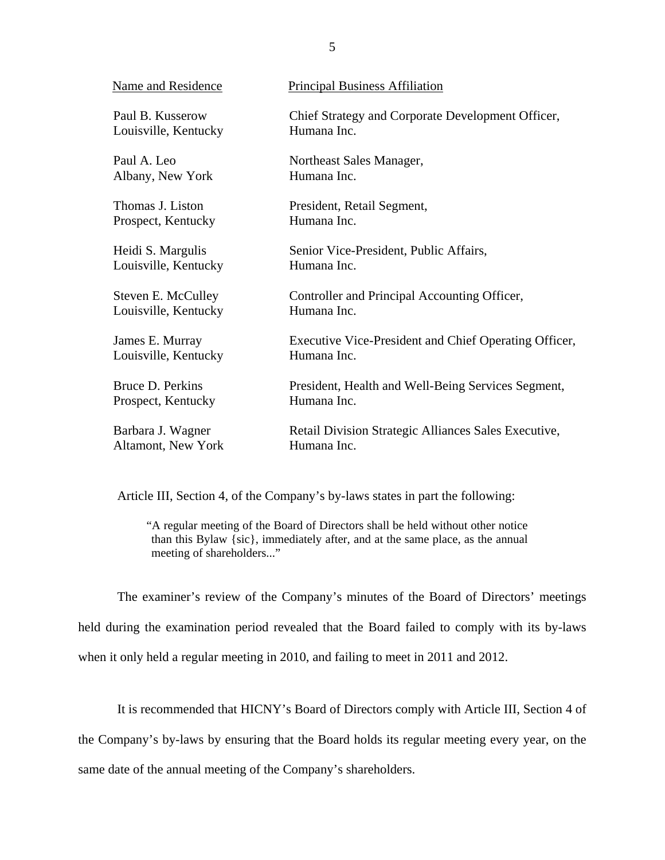| Name and Residence        | <b>Principal Business Affiliation</b>                 |
|---------------------------|-------------------------------------------------------|
| Paul B. Kusserow          | Chief Strategy and Corporate Development Officer,     |
| Louisville, Kentucky      | Humana Inc.                                           |
| Paul A. Leo               | Northeast Sales Manager,                              |
| Albany, New York          | Humana Inc.                                           |
| Thomas J. Liston          | President, Retail Segment,                            |
| Prospect, Kentucky        | Humana Inc.                                           |
| Heidi S. Margulis         | Senior Vice-President, Public Affairs,                |
| Louisville, Kentucky      | Humana Inc.                                           |
| Steven E. McCulley        | Controller and Principal Accounting Officer,          |
| Louisville, Kentucky      | Humana Inc.                                           |
| James E. Murray           | Executive Vice-President and Chief Operating Officer, |
| Louisville, Kentucky      | Humana Inc.                                           |
| Bruce D. Perkins          | President, Health and Well-Being Services Segment,    |
| Prospect, Kentucky        | Humana Inc.                                           |
| Barbara J. Wagner         | Retail Division Strategic Alliances Sales Executive,  |
| <b>Altamont, New York</b> | Humana Inc.                                           |

Article III, Section 4, of the Company's by-laws states in part the following:

"A regular meeting of the Board of Directors shall be held without other notice than this Bylaw {sic}, immediately after, and at the same place, as the annual meeting of shareholders..."

The examiner's review of the Company's minutes of the Board of Directors' meetings held during the examination period revealed that the Board failed to comply with its by-laws when it only held a regular meeting in 2010, and failing to meet in 2011 and 2012.

It is recommended that HICNY's Board of Directors comply with Article III, Section 4 of the Company's by-laws by ensuring that the Board holds its regular meeting every year, on the same date of the annual meeting of the Company's shareholders.

5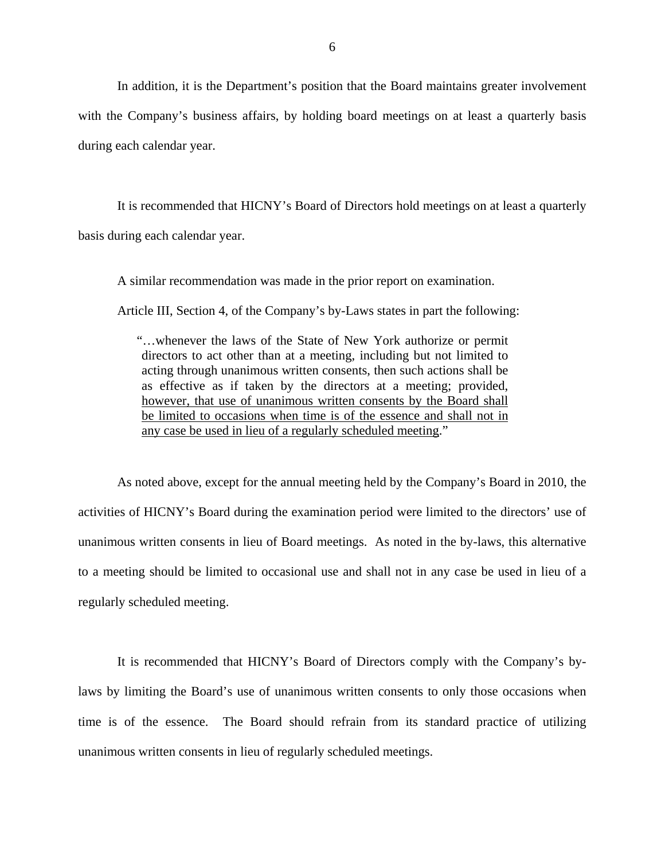In addition, it is the Department's position that the Board maintains greater involvement with the Company's business affairs, by holding board meetings on at least a quarterly basis during each calendar year.

It is recommended that HICNY's Board of Directors hold meetings on at least a quarterly basis during each calendar year.

A similar recommendation was made in the prior report on examination.

Article III, Section 4, of the Company's by-Laws states in part the following:

"…whenever the laws of the State of New York authorize or permit directors to act other than at a meeting, including but not limited to acting through unanimous written consents, then such actions shall be as effective as if taken by the directors at a meeting; provided, however, that use of unanimous written consents by the Board shall be limited to occasions when time is of the essence and shall not in any case be used in lieu of a regularly scheduled meeting."

As noted above, except for the annual meeting held by the Company's Board in 2010, the activities of HICNY's Board during the examination period were limited to the directors' use of unanimous written consents in lieu of Board meetings. As noted in the by-laws, this alternative to a meeting should be limited to occasional use and shall not in any case be used in lieu of a regularly scheduled meeting.

It is recommended that HICNY's Board of Directors comply with the Company's bylaws by limiting the Board's use of unanimous written consents to only those occasions when time is of the essence. The Board should refrain from its standard practice of utilizing unanimous written consents in lieu of regularly scheduled meetings.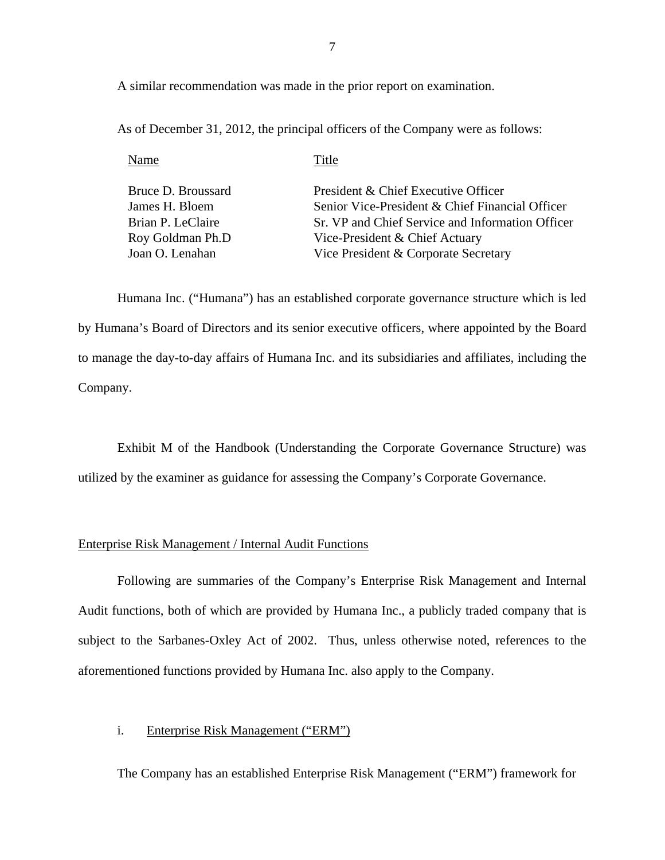A similar recommendation was made in the prior report on examination.

As of December 31, 2012, the principal officers of the Company were as follows:

| Name               | Title                                            |
|--------------------|--------------------------------------------------|
| Bruce D. Broussard | President & Chief Executive Officer              |
| James H. Bloem     | Senior Vice-President & Chief Financial Officer  |
| Brian P. LeClaire  | Sr. VP and Chief Service and Information Officer |
| Roy Goldman Ph.D   | Vice-President & Chief Actuary                   |
| Joan O. Lenahan    | Vice President & Corporate Secretary             |
|                    |                                                  |

Humana Inc. ("Humana") has an established corporate governance structure which is led by Humana's Board of Directors and its senior executive officers, where appointed by the Board to manage the day-to-day affairs of Humana Inc. and its subsidiaries and affiliates, including the Company.

Exhibit M of the Handbook (Understanding the Corporate Governance Structure) was utilized by the examiner as guidance for assessing the Company's Corporate Governance.

## Enterprise Risk Management / Internal Audit Functions

Following are summaries of the Company's Enterprise Risk Management and Internal Audit functions, both of which are provided by Humana Inc., a publicly traded company that is subject to the Sarbanes-Oxley Act of 2002. Thus, unless otherwise noted, references to the aforementioned functions provided by Humana Inc. also apply to the Company.

## i. Enterprise Risk Management ("ERM")

The Company has an established Enterprise Risk Management ("ERM") framework for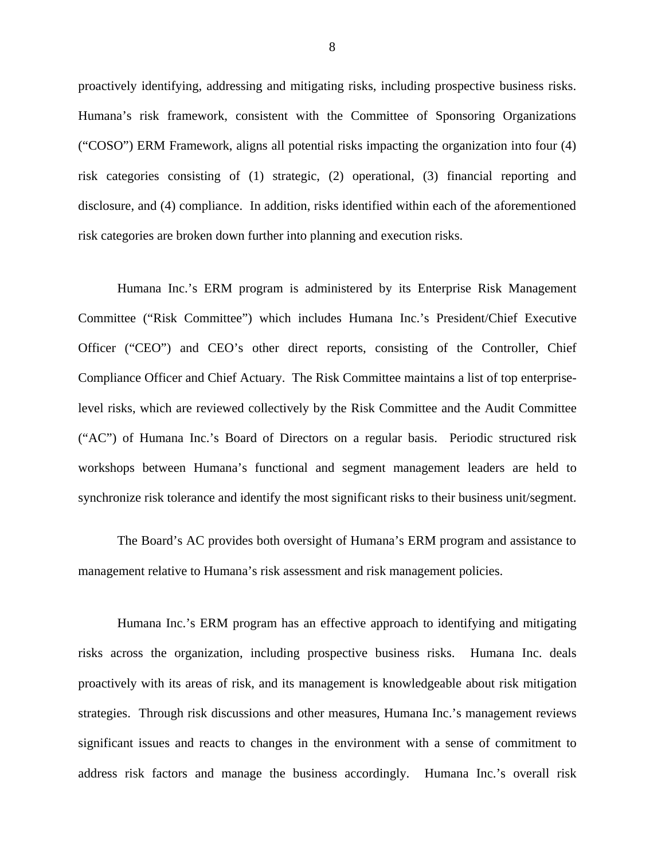proactively identifying, addressing and mitigating risks, including prospective business risks. Humana's risk framework, consistent with the Committee of Sponsoring Organizations ("COSO") ERM Framework, aligns all potential risks impacting the organization into four (4) risk categories consisting of (1) strategic, (2) operational, (3) financial reporting and disclosure, and (4) compliance. In addition, risks identified within each of the aforementioned risk categories are broken down further into planning and execution risks.

Humana Inc.'s ERM program is administered by its Enterprise Risk Management Committee ("Risk Committee") which includes Humana Inc.'s President/Chief Executive Officer ("CEO") and CEO's other direct reports, consisting of the Controller, Chief Compliance Officer and Chief Actuary. The Risk Committee maintains a list of top enterpriselevel risks, which are reviewed collectively by the Risk Committee and the Audit Committee ("AC") of Humana Inc.'s Board of Directors on a regular basis. Periodic structured risk workshops between Humana's functional and segment management leaders are held to synchronize risk tolerance and identify the most significant risks to their business unit/segment.

The Board's AC provides both oversight of Humana's ERM program and assistance to management relative to Humana's risk assessment and risk management policies.

Humana Inc.'s ERM program has an effective approach to identifying and mitigating risks across the organization, including prospective business risks. Humana Inc. deals proactively with its areas of risk, and its management is knowledgeable about risk mitigation strategies. Through risk discussions and other measures, Humana Inc.'s management reviews significant issues and reacts to changes in the environment with a sense of commitment to address risk factors and manage the business accordingly. Humana Inc.'s overall risk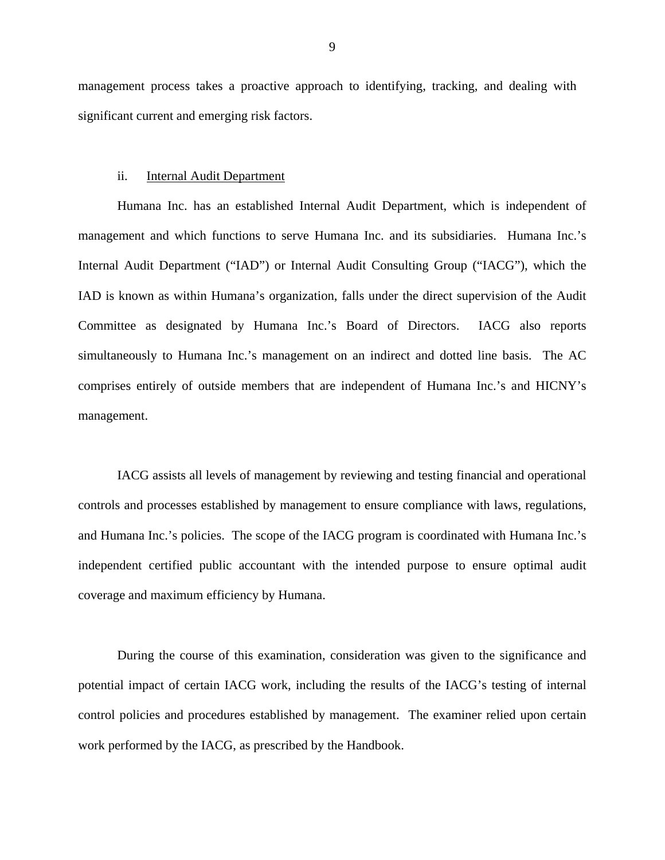management process takes a proactive approach to identifying, tracking, and dealing with significant current and emerging risk factors.

#### ii. Internal Audit Department

Humana Inc. has an established Internal Audit Department, which is independent of management and which functions to serve Humana Inc. and its subsidiaries. Humana Inc.'s Internal Audit Department ("IAD") or Internal Audit Consulting Group ("IACG"), which the IAD is known as within Humana's organization, falls under the direct supervision of the Audit Committee as designated by Humana Inc.'s Board of Directors. IACG also reports simultaneously to Humana Inc.'s management on an indirect and dotted line basis. The AC comprises entirely of outside members that are independent of Humana Inc.'s and HICNY's management.

IACG assists all levels of management by reviewing and testing financial and operational controls and processes established by management to ensure compliance with laws, regulations, and Humana Inc.'s policies. The scope of the IACG program is coordinated with Humana Inc.'s independent certified public accountant with the intended purpose to ensure optimal audit coverage and maximum efficiency by Humana.

During the course of this examination, consideration was given to the significance and potential impact of certain IACG work, including the results of the IACG's testing of internal control policies and procedures established by management. The examiner relied upon certain work performed by the IACG, as prescribed by the Handbook.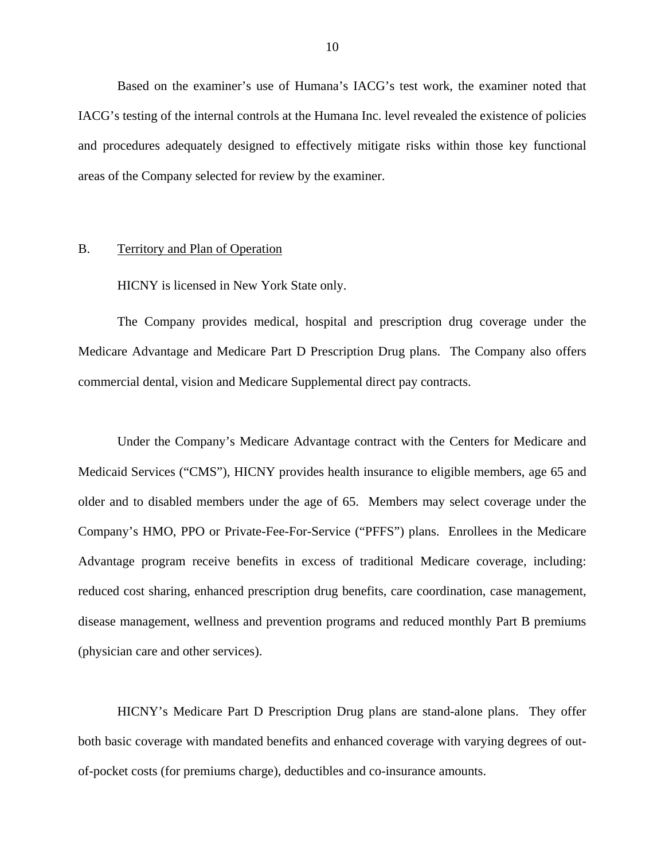<span id="page-11-0"></span>Based on the examiner's use of Humana's IACG's test work, the examiner noted that IACG's testing of the internal controls at the Humana Inc. level revealed the existence of policies and procedures adequately designed to effectively mitigate risks within those key functional areas of the Company selected for review by the examiner.

## B. Territory and Plan of Operation

HICNY is licensed in New York State only.

The Company provides medical, hospital and prescription drug coverage under the Medicare Advantage and Medicare Part D Prescription Drug plans. The Company also offers commercial dental, vision and Medicare Supplemental direct pay contracts.

Under the Company's Medicare Advantage contract with the Centers for Medicare and Medicaid Services ("CMS"), HICNY provides health insurance to eligible members, age 65 and older and to disabled members under the age of 65. Members may select coverage under the Company's HMO, PPO or Private-Fee-For-Service ("PFFS") plans. Enrollees in the Medicare Advantage program receive benefits in excess of traditional Medicare coverage, including: reduced cost sharing, enhanced prescription drug benefits, care coordination, case management, disease management, wellness and prevention programs and reduced monthly Part B premiums (physician care and other services).

HICNY's Medicare Part D Prescription Drug plans are stand-alone plans. They offer both basic coverage with mandated benefits and enhanced coverage with varying degrees of outof-pocket costs (for premiums charge), deductibles and co-insurance amounts.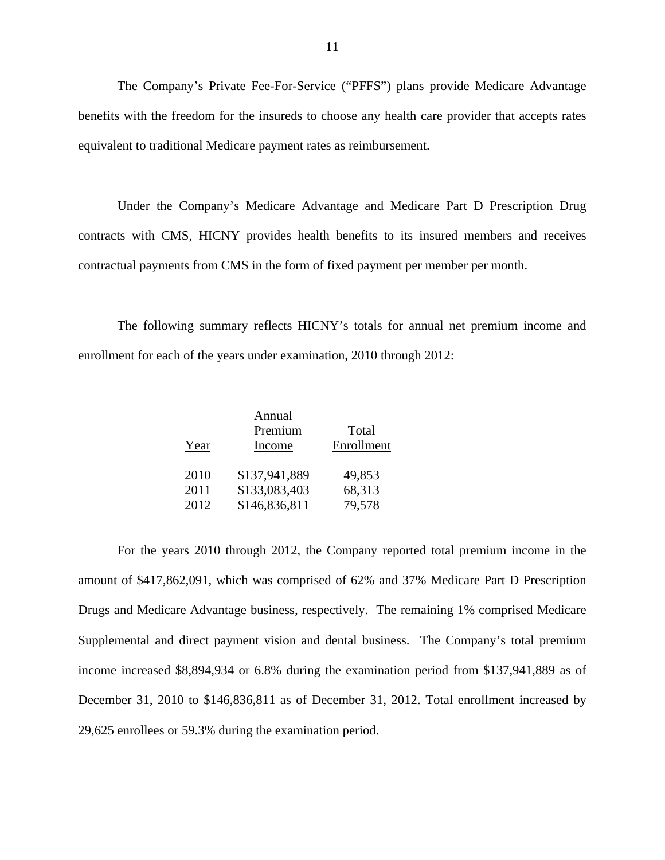The Company's Private Fee-For-Service ("PFFS") plans provide Medicare Advantage benefits with the freedom for the insureds to choose any health care provider that accepts rates equivalent to traditional Medicare payment rates as reimbursement.

Under the Company's Medicare Advantage and Medicare Part D Prescription Drug contracts with CMS, HICNY provides health benefits to its insured members and receives contractual payments from CMS in the form of fixed payment per member per month.

The following summary reflects HICNY's totals for annual net premium income and enrollment for each of the years under examination, 2010 through 2012:

|      | Annual        |            |
|------|---------------|------------|
|      | Premium       | Total      |
| Year | Income        | Enrollment |
| 2010 | \$137,941,889 | 49,853     |
| 2011 | \$133,083,403 | 68,313     |
| 2012 | \$146,836,811 | 79,578     |

For the years 2010 through 2012, the Company reported total premium income in the amount of \$417,862,091, which was comprised of 62% and 37% Medicare Part D Prescription Drugs and Medicare Advantage business, respectively. The remaining 1% comprised Medicare Supplemental and direct payment vision and dental business. The Company's total premium income increased \$8,894,934 or 6.8% during the examination period from \$137,941,889 as of December 31, 2010 to \$146,836,811 as of December 31, 2012. Total enrollment increased by 29,625 enrollees or 59.3% during the examination period.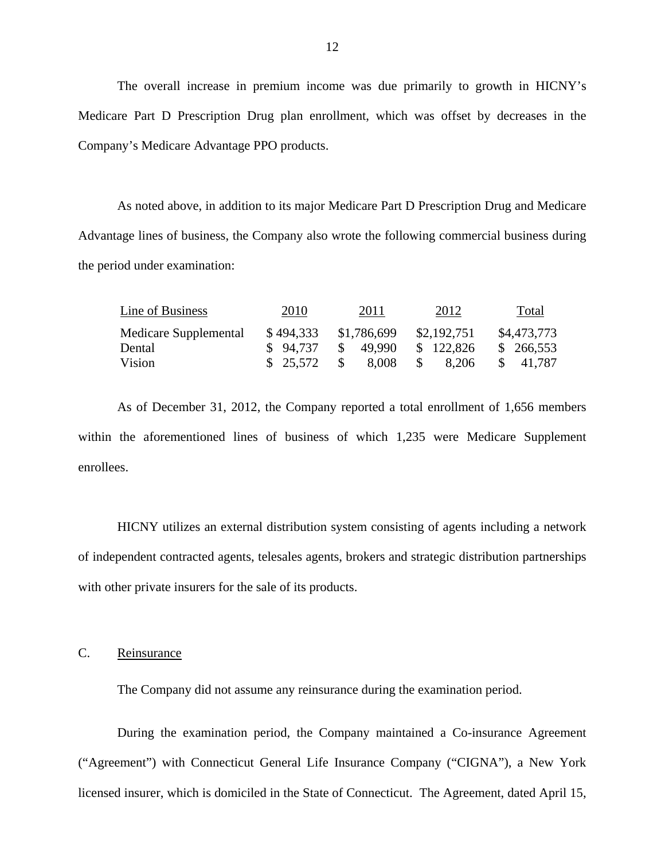The overall increase in premium income was due primarily to growth in HICNY's Medicare Part D Prescription Drug plan enrollment, which was offset by decreases in the Company's Medicare Advantage PPO products.

As noted above, in addition to its major Medicare Part D Prescription Drug and Medicare Advantage lines of business, the Company also wrote the following commercial business during the period under examination:

| Line of Business      | 2010      | 2011          | 2012         | Total       |
|-----------------------|-----------|---------------|--------------|-------------|
| Medicare Supplemental | \$494,333 | \$1,786,699   | \$2,192,751  | \$4,473,773 |
| Dental                | \$94.737  | 49.990<br>SS. | \$122,826    | \$266,553   |
| Vision                | \$25,572  | 8.008<br>-SS  | 8.206<br>-85 | \$ 41.787   |

As of December 31, 2012, the Company reported a total enrollment of 1,656 members within the aforementioned lines of business of which 1,235 were Medicare Supplement enrollees.

HICNY utilizes an external distribution system consisting of agents including a network of independent contracted agents, telesales agents, brokers and strategic distribution partnerships with other private insurers for the sale of its products.

C. Reinsurance

The Company did not assume any reinsurance during the examination period.

During the examination period, the Company maintained a Co-insurance Agreement ("Agreement") with Connecticut General Life Insurance Company ("CIGNA"), a New York licensed insurer, which is domiciled in the State of Connecticut. The Agreement, dated April 15,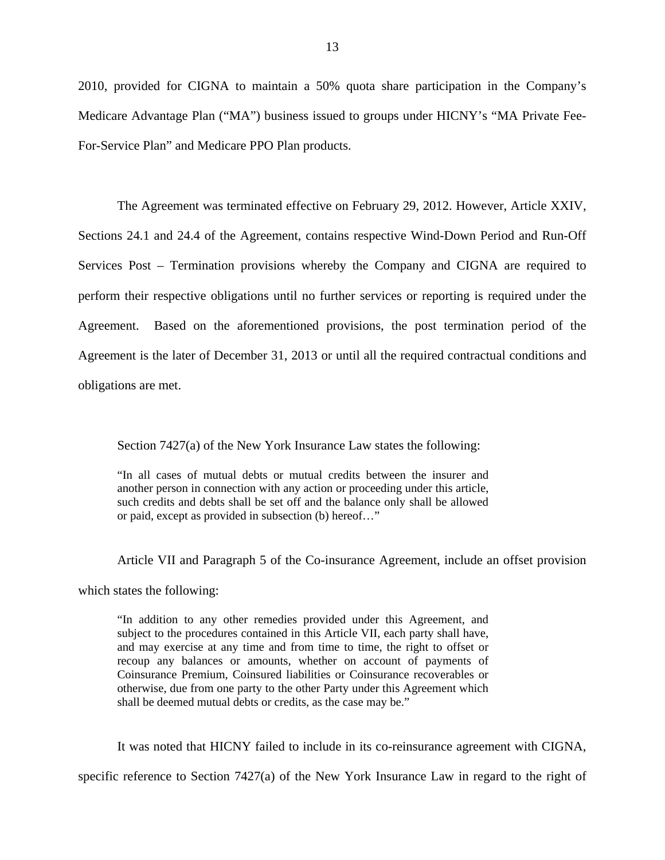2010, provided for CIGNA to maintain a 50% quota share participation in the Company's Medicare Advantage Plan ("MA") business issued to groups under HICNY's "MA Private Fee-For-Service Plan" and Medicare PPO Plan products.

The Agreement was terminated effective on February 29, 2012. However, Article XXIV, Sections 24.1 and 24.4 of the Agreement, contains respective Wind-Down Period and Run-Off Services Post – Termination provisions whereby the Company and CIGNA are required to perform their respective obligations until no further services or reporting is required under the Agreement. Based on the aforementioned provisions, the post termination period of the Agreement is the later of December 31, 2013 or until all the required contractual conditions and obligations are met.

Section 7427(a) of the New York Insurance Law states the following:

"In all cases of mutual debts or mutual credits between the insurer and another person in connection with any action or proceeding under this article, such credits and debts shall be set off and the balance only shall be allowed or paid, except as provided in subsection (b) hereof…"

Article VII and Paragraph 5 of the Co-insurance Agreement, include an offset provision

which states the following:

 recoup any balances or amounts, whether on account of payments of "In addition to any other remedies provided under this Agreement, and subject to the procedures contained in this Article VII, each party shall have, and may exercise at any time and from time to time, the right to offset or Coinsurance Premium, Coinsured liabilities or Coinsurance recoverables or otherwise, due from one party to the other Party under this Agreement which shall be deemed mutual debts or credits, as the case may be."

It was noted that HICNY failed to include in its co-reinsurance agreement with CIGNA,

specific reference to Section 7427(a) of the New York Insurance Law in regard to the right of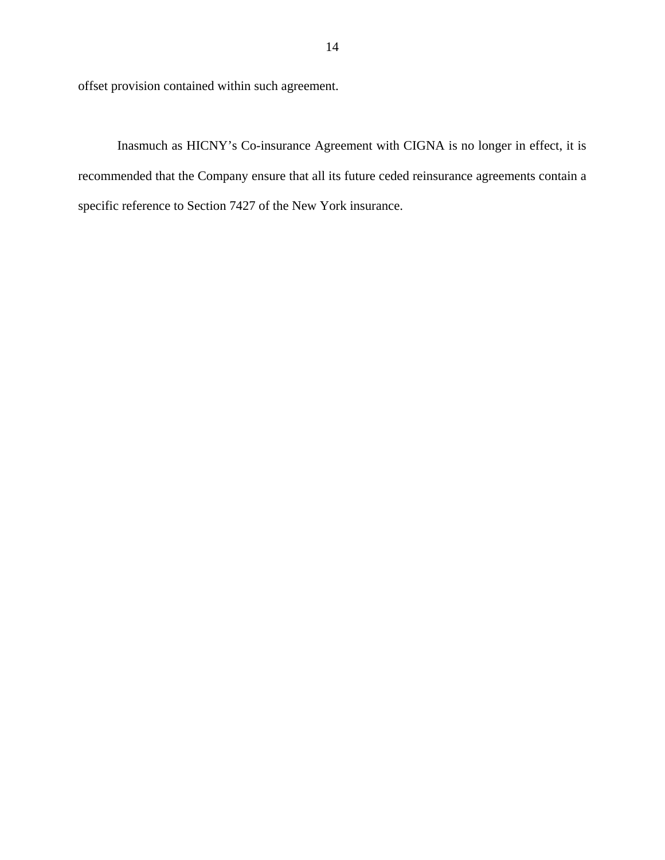offset provision contained within such agreement.

Inasmuch as HICNY's Co-insurance Agreement with CIGNA is no longer in effect, it is recommended that the Company ensure that all its future ceded reinsurance agreements contain a specific reference to Section 7427 of the New York insurance.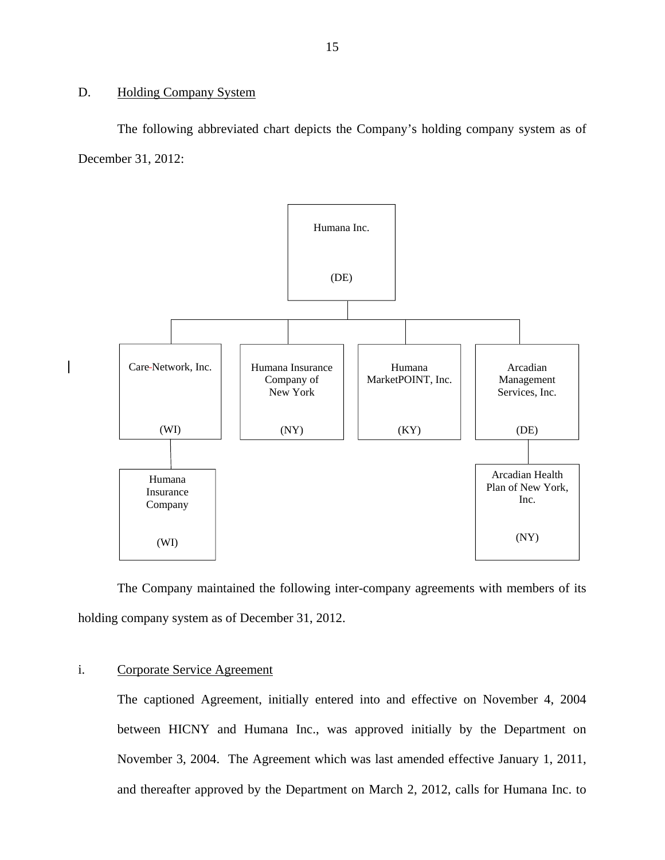## <span id="page-16-0"></span>D. Holding Company System

The following abbreviated chart depicts the Company's holding company system as of December 31, 2012:



The Company maintained the following inter-company agreements with members of its holding company system as of December 31, 2012.

## i. Corporate Service Agreement

The captioned Agreement, initially entered into and effective on November 4, 2004 between HICNY and Humana Inc., was approved initially by the Department on November 3, 2004. The Agreement which was last amended effective January 1, 2011, and thereafter approved by the Department on March 2, 2012, calls for Humana Inc. to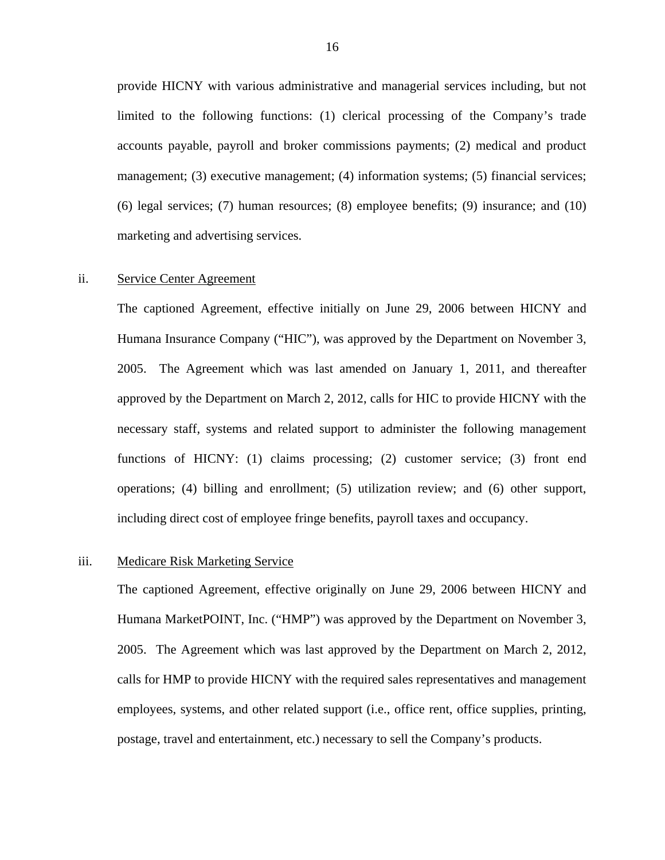provide HICNY with various administrative and managerial services including, but not limited to the following functions: (1) clerical processing of the Company's trade accounts payable, payroll and broker commissions payments; (2) medical and product management; (3) executive management; (4) information systems; (5) financial services; (6) legal services; (7) human resources; (8) employee benefits; (9) insurance; and (10) marketing and advertising services.

## ii. Service Center Agreement

The captioned Agreement, effective initially on June 29, 2006 between HICNY and Humana Insurance Company ("HIC"), was approved by the Department on November 3, 2005. The Agreement which was last amended on January 1, 2011, and thereafter approved by the Department on March 2, 2012, calls for HIC to provide HICNY with the necessary staff, systems and related support to administer the following management functions of HICNY: (1) claims processing; (2) customer service; (3) front end operations; (4) billing and enrollment; (5) utilization review; and (6) other support, including direct cost of employee fringe benefits, payroll taxes and occupancy.

## iii. Medicare Risk Marketing Service

The captioned Agreement, effective originally on June 29, 2006 between HICNY and Humana MarketPOINT, Inc. ("HMP") was approved by the Department on November 3, 2005. The Agreement which was last approved by the Department on March 2, 2012, calls for HMP to provide HICNY with the required sales representatives and management employees, systems, and other related support (i.e., office rent, office supplies, printing, postage, travel and entertainment, etc.) necessary to sell the Company's products.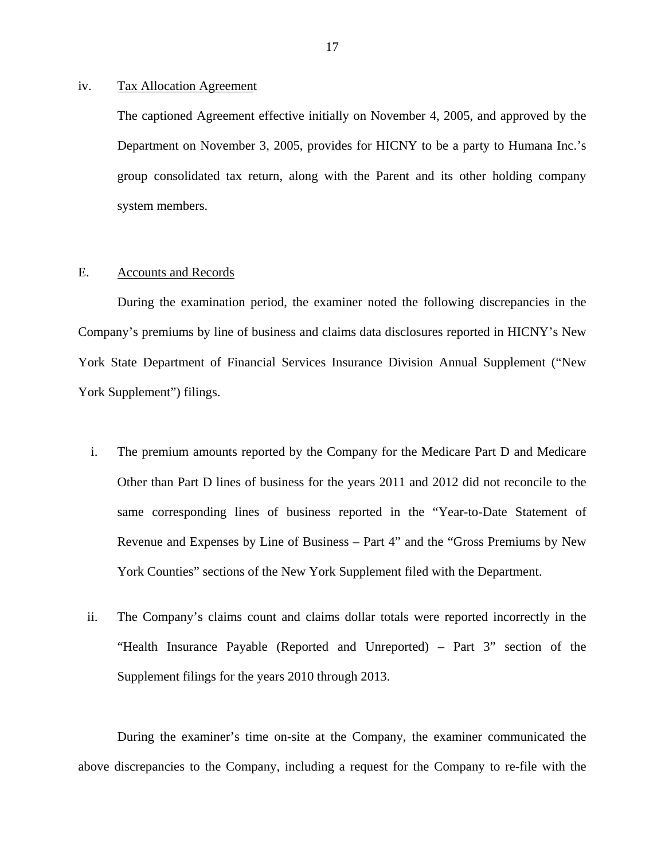## <span id="page-18-0"></span>iv. Tax Allocation Agreement

The captioned Agreement effective initially on November 4, 2005, and approved by the Department on November 3, 2005, provides for HICNY to be a party to Humana Inc.'s group consolidated tax return, along with the Parent and its other holding company system members.

## E. Accounts and Records

During the examination period, the examiner noted the following discrepancies in the Company's premiums by line of business and claims data disclosures reported in HICNY's New York State Department of Financial Services Insurance Division Annual Supplement ("New York Supplement") filings.

- i. The premium amounts reported by the Company for the Medicare Part D and Medicare Other than Part D lines of business for the years 2011 and 2012 did not reconcile to the same corresponding lines of business reported in the "Year-to-Date Statement of Revenue and Expenses by Line of Business – Part 4" and the "Gross Premiums by New York Counties" sections of the New York Supplement filed with the Department.
- ii. The Company's claims count and claims dollar totals were reported incorrectly in the "Health Insurance Payable (Reported and Unreported) – Part 3" section of the Supplement filings for the years 2010 through 2013.

During the examiner's time on-site at the Company, the examiner communicated the above discrepancies to the Company, including a request for the Company to re-file with the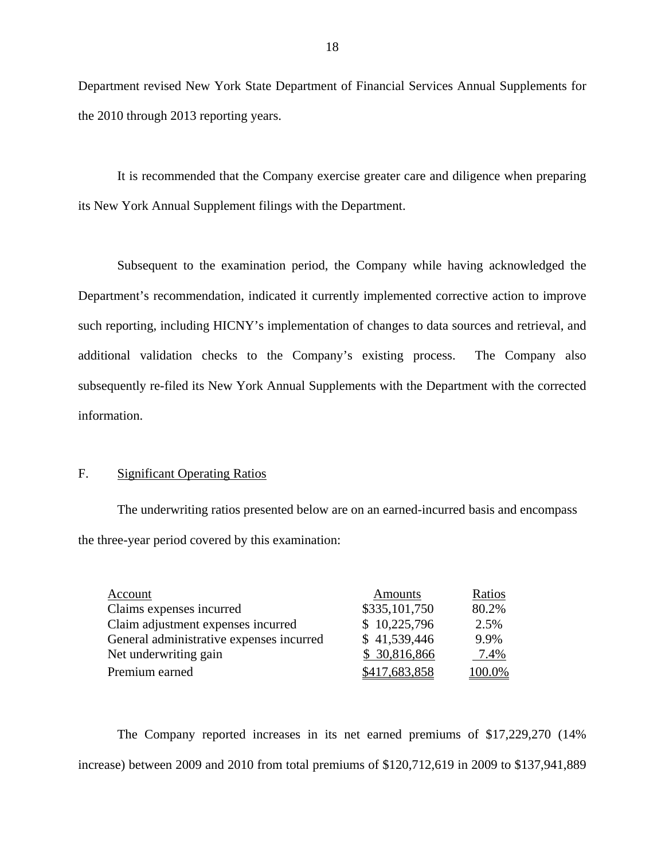Department revised New York State Department of Financial Services Annual Supplements for the 2010 through 2013 reporting years.

It is recommended that the Company exercise greater care and diligence when preparing its New York Annual Supplement filings with the Department.

Subsequent to the examination period, the Company while having acknowledged the Department's recommendation, indicated it currently implemented corrective action to improve such reporting, including HICNY's implementation of changes to data sources and retrieval, and additional validation checks to the Company's existing process. The Company also subsequently re-filed its New York Annual Supplements with the Department with the corrected information.

## F. Significant Operating Ratios

The underwriting ratios presented below are on an earned-incurred basis and encompass the three-year period covered by this examination:

| Account                                  | Amounts       | Ratios |
|------------------------------------------|---------------|--------|
| Claims expenses incurred                 | \$335,101,750 | 80.2%  |
| Claim adjustment expenses incurred       | \$10,225,796  | 2.5%   |
| General administrative expenses incurred | \$41,539,446  | 9.9%   |
| Net underwriting gain                    | \$ 30,816,866 | 7.4%   |
| Premium earned                           | \$417,683,858 | 100.0% |

The Company reported increases in its net earned premiums of \$17,229,270 (14% increase) between 2009 and 2010 from total premiums of \$120,712,619 in 2009 to \$137,941,889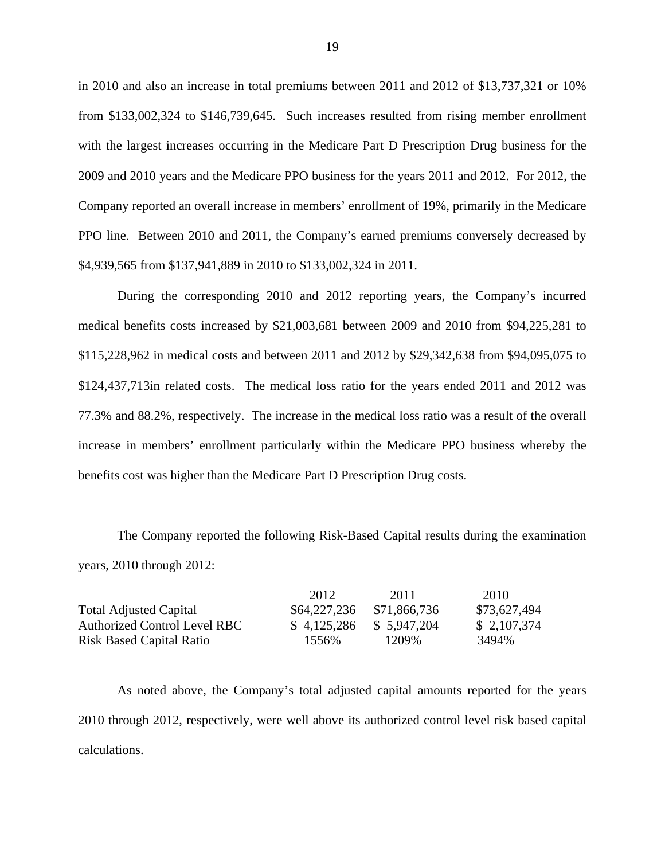in 2010 and also an increase in total premiums between 2011 and 2012 of \$13,737,321 or 10% from \$133,002,324 to \$146,739,645. Such increases resulted from rising member enrollment with the largest increases occurring in the Medicare Part D Prescription Drug business for the 2009 and 2010 years and the Medicare PPO business for the years 2011 and 2012. For 2012, the Company reported an overall increase in members' enrollment of 19%, primarily in the Medicare PPO line. Between 2010 and 2011, the Company's earned premiums conversely decreased by \$4,939,565 from \$137,941,889 in 2010 to \$133,002,324 in 2011.

During the corresponding 2010 and 2012 reporting years, the Company's incurred medical benefits costs increased by \$21,003,681 between 2009 and 2010 from \$94,225,281 to \$115,228,962 in medical costs and between 2011 and 2012 by \$29,342,638 from \$94,095,075 to \$124,437,713in related costs. The medical loss ratio for the years ended 2011 and 2012 was 77.3% and 88.2%, respectively. The increase in the medical loss ratio was a result of the overall increase in members' enrollment particularly within the Medicare PPO business whereby the benefits cost was higher than the Medicare Part D Prescription Drug costs.

The Company reported the following Risk-Based Capital results during the examination years, 2010 through 2012:

|                                 | 2012         | 2011         | 2010         |
|---------------------------------|--------------|--------------|--------------|
| <b>Total Adjusted Capital</b>   | \$64,227,236 | \$71,866,736 | \$73,627,494 |
| Authorized Control Level RBC    | \$4,125,286  | \$ 5,947,204 | \$2,107,374  |
| <b>Risk Based Capital Ratio</b> | 1556%        | 1209%        | 3494%        |

As noted above, the Company's total adjusted capital amounts reported for the years 2010 through 2012, respectively, were well above its authorized control level risk based capital calculations.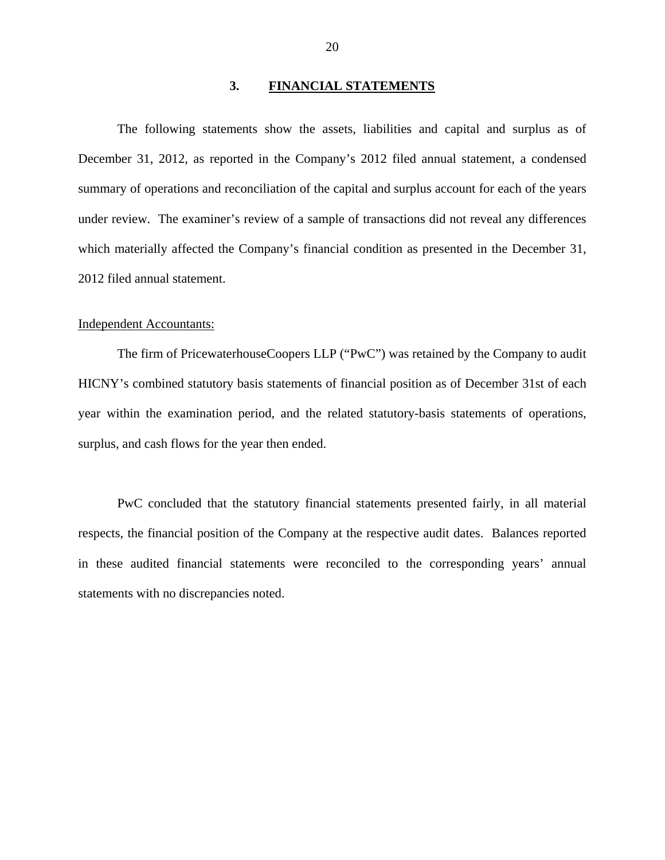## **3. FINANCIAL STATEMENTS**

<span id="page-21-0"></span>The following statements show the assets, liabilities and capital and surplus as of December 31, 2012, as reported in the Company's 2012 filed annual statement, a condensed summary of operations and reconciliation of the capital and surplus account for each of the years under review. The examiner's review of a sample of transactions did not reveal any differences which materially affected the Company's financial condition as presented in the December 31, 2012 filed annual statement.

#### Independent Accountants:

The firm of PricewaterhouseCoopers LLP ("PwC") was retained by the Company to audit HICNY's combined statutory basis statements of financial position as of December 31st of each year within the examination period, and the related statutory-basis statements of operations, surplus, and cash flows for the year then ended.

PwC concluded that the statutory financial statements presented fairly, in all material respects, the financial position of the Company at the respective audit dates. Balances reported in these audited financial statements were reconciled to the corresponding years' annual statements with no discrepancies noted.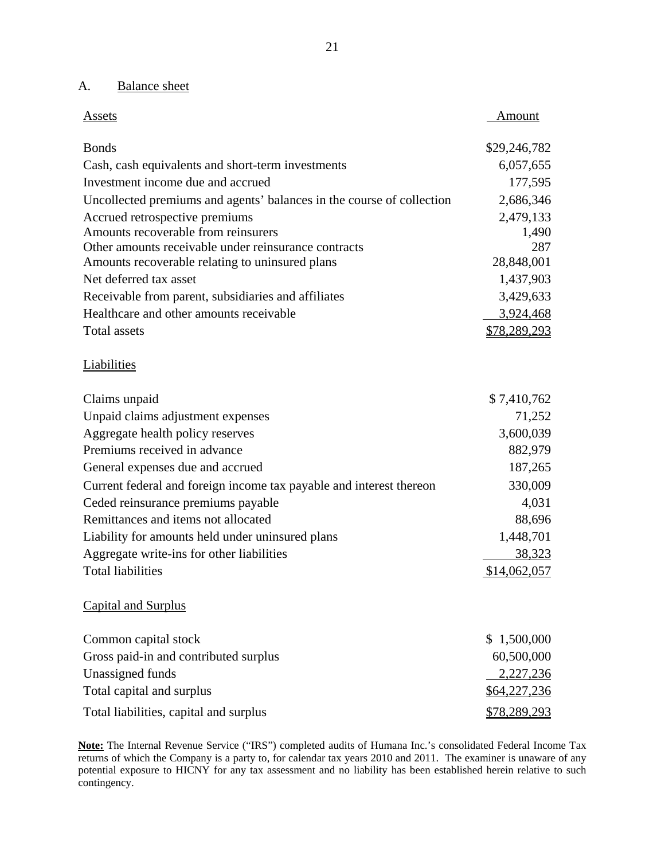## A. Balance sheet

| Assets                                                                | Amount        |
|-----------------------------------------------------------------------|---------------|
| <b>Bonds</b>                                                          | \$29,246,782  |
| Cash, cash equivalents and short-term investments                     | 6,057,655     |
| Investment income due and accrued                                     | 177,595       |
| Uncollected premiums and agents' balances in the course of collection | 2,686,346     |
| Accrued retrospective premiums                                        | 2,479,133     |
| Amounts recoverable from reinsurers                                   | 1,490         |
| Other amounts receivable under reinsurance contracts                  | 287           |
| Amounts recoverable relating to uninsured plans                       | 28,848,001    |
| Net deferred tax asset                                                | 1,437,903     |
| Receivable from parent, subsidiaries and affiliates                   | 3,429,633     |
| Healthcare and other amounts receivable                               | 3,924,468     |
| <b>Total assets</b>                                                   | \$78,289,293  |
| <b>Liabilities</b>                                                    |               |
| Claims unpaid                                                         | \$7,410,762   |
| Unpaid claims adjustment expenses                                     | 71,252        |
| Aggregate health policy reserves                                      | 3,600,039     |
| Premiums received in advance                                          | 882,979       |
| General expenses due and accrued                                      | 187,265       |
| Current federal and foreign income tax payable and interest thereon   | 330,009       |
| Ceded reinsurance premiums payable                                    | 4,031         |
| Remittances and items not allocated                                   | 88,696        |
| Liability for amounts held under uninsured plans                      | 1,448,701     |
| Aggregate write-ins for other liabilities                             | <u>38,323</u> |
| <b>Total liabilities</b>                                              | \$14,062,057  |
| <b>Capital and Surplus</b>                                            |               |
| Common capital stock                                                  | \$1,500,000   |
| Gross paid-in and contributed surplus                                 | 60,500,000    |
| Unassigned funds                                                      | 2,227,236     |
| Total capital and surplus                                             | \$64,227,236  |

Total liabilities, capital and surplus  $$78,289,293$ 

 contingency. **Note:** The Internal Revenue Service ("IRS") completed audits of Humana Inc.'s consolidated Federal Income Tax returns of which the Company is a party to, for calendar tax years 2010 and 2011. The examiner is unaware of any potential exposure to HICNY for any tax assessment and no liability has been established herein relative to such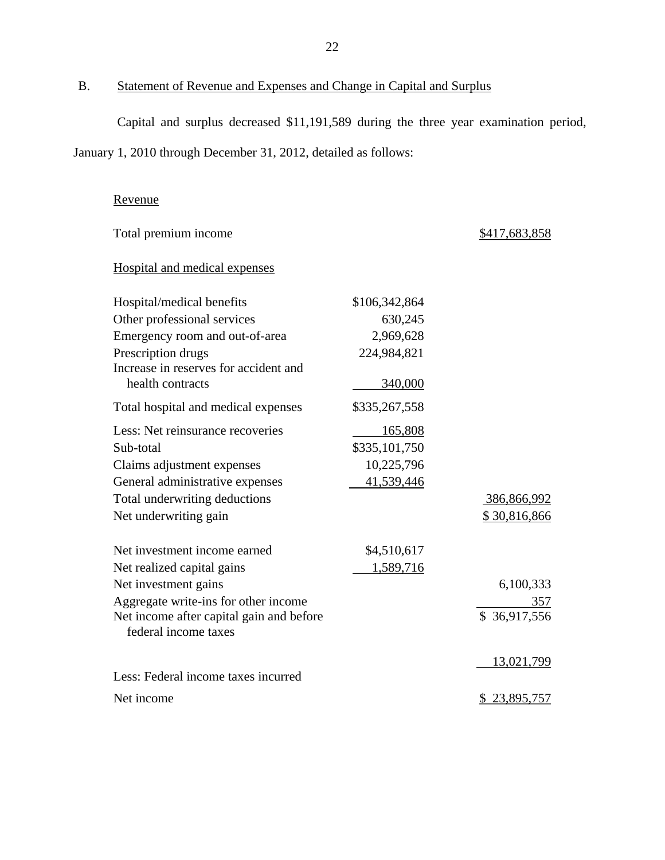<span id="page-23-0"></span>B. Statement of Revenue and Expenses and Change in Capital and Surplus

Capital and surplus decreased \$11,191,589 during the three year examination period,

January 1, 2010 through December 31, 2012, detailed as follows:

## Revenue

| Total premium income                                             |               | \$417,683,858       |
|------------------------------------------------------------------|---------------|---------------------|
| Hospital and medical expenses                                    |               |                     |
| Hospital/medical benefits                                        | \$106,342,864 |                     |
| Other professional services                                      | 630,245       |                     |
| Emergency room and out-of-area                                   | 2,969,628     |                     |
| Prescription drugs                                               | 224,984,821   |                     |
| Increase in reserves for accident and                            |               |                     |
| health contracts                                                 | 340,000       |                     |
| Total hospital and medical expenses                              | \$335,267,558 |                     |
| Less: Net reinsurance recoveries                                 | 165,808       |                     |
| Sub-total                                                        | \$335,101,750 |                     |
| Claims adjustment expenses                                       | 10,225,796    |                     |
| General administrative expenses                                  | 41,539,446    |                     |
| Total underwriting deductions                                    |               | 386,866,992         |
| Net underwriting gain                                            |               | \$30,816,866        |
| Net investment income earned                                     | \$4,510,617   |                     |
| Net realized capital gains                                       | 1,589,716     |                     |
| Net investment gains                                             |               | 6,100,333           |
| Aggregate write-ins for other income                             |               | 357                 |
| Net income after capital gain and before<br>federal income taxes |               | \$36,917,556        |
| Less: Federal income taxes incurred                              |               | 13,021,799          |
| Net income                                                       |               | <u>\$23,895,757</u> |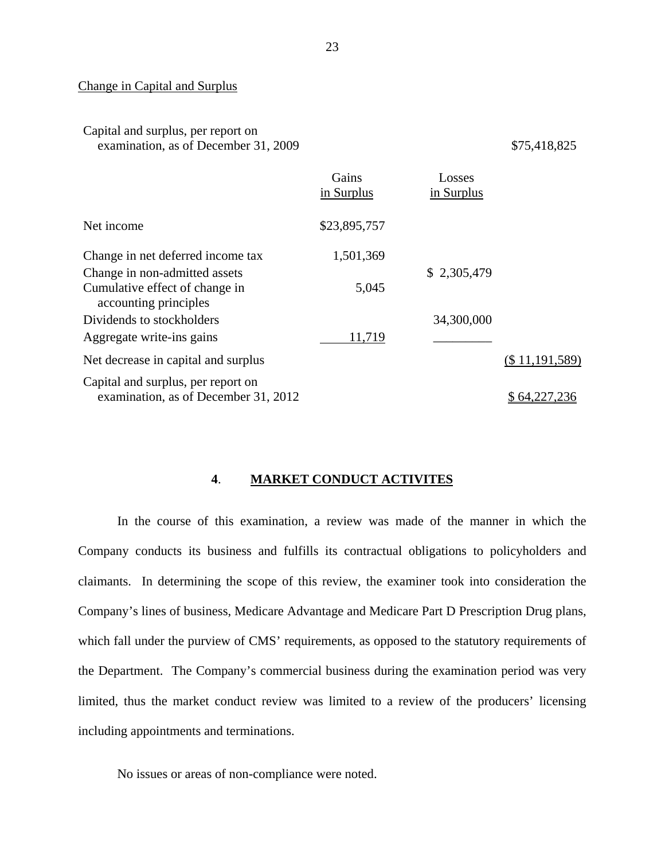#### Change in Capital and Surplus

## Capital and surplus, per report on examination, as of December 31, 2009 \$75,418,825

|                                                                            | Gains<br>in Surplus | Losses<br>in Surplus |                |
|----------------------------------------------------------------------------|---------------------|----------------------|----------------|
| Net income                                                                 | \$23,895,757        |                      |                |
| Change in net deferred income tax                                          | 1,501,369           |                      |                |
| Change in non-admitted assets                                              |                     | \$2,305,479          |                |
| Cumulative effect of change in<br>accounting principles                    | 5,045               |                      |                |
| Dividends to stockholders                                                  |                     | 34,300,000           |                |
| Aggregate write-ins gains                                                  | 11,719              |                      |                |
| Net decrease in capital and surplus                                        |                     |                      | (\$11,191,589) |
| Capital and surplus, per report on<br>examination, as of December 31, 2012 |                     |                      | \$64,227,236   |

#### **4**. **MARKET CONDUCT ACTIVITES**

In the course of this examination, a review was made of the manner in which the Company conducts its business and fulfills its contractual obligations to policyholders and claimants. In determining the scope of this review, the examiner took into consideration the Company's lines of business, Medicare Advantage and Medicare Part D Prescription Drug plans, which fall under the purview of CMS' requirements, as opposed to the statutory requirements of the Department. The Company's commercial business during the examination period was very limited, thus the market conduct review was limited to a review of the producers' licensing including appointments and terminations.

No issues or areas of non-compliance were noted.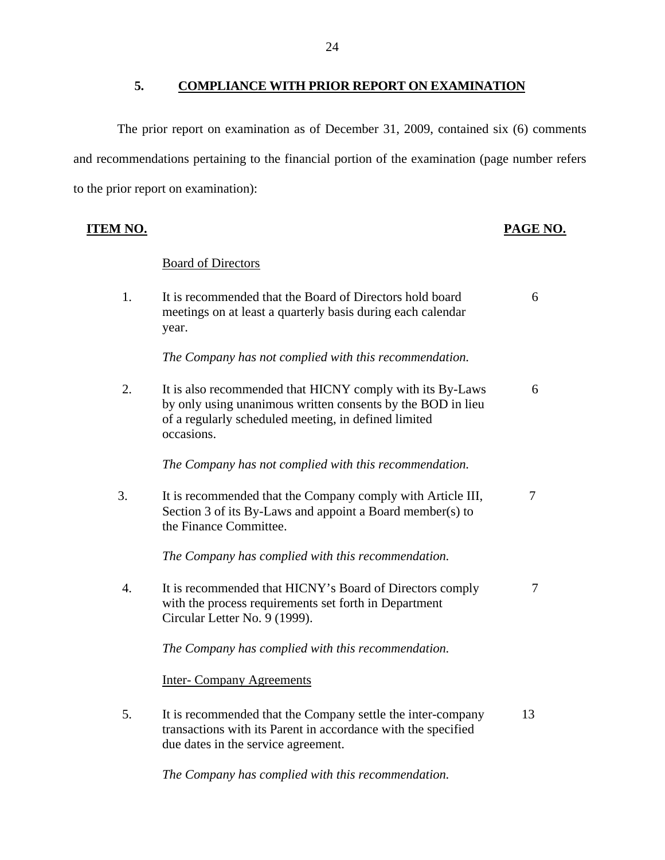## **5. COMPLIANCE WITH PRIOR REPORT ON EXAMINATION**

<span id="page-25-0"></span>The prior report on examination as of December 31, 2009, contained six (6) comments and recommendations pertaining to the financial portion of the examination (page number refers to the prior report on examination):

**ITEM NO. PAGE NO.** 

|    | <b>Board of Directors</b>                                                                                                                                                                      |    |
|----|------------------------------------------------------------------------------------------------------------------------------------------------------------------------------------------------|----|
| 1. | It is recommended that the Board of Directors hold board<br>meetings on at least a quarterly basis during each calendar<br>year.                                                               | 6  |
|    | The Company has not complied with this recommendation.                                                                                                                                         |    |
| 2. | It is also recommended that HICNY comply with its By-Laws<br>by only using unanimous written consents by the BOD in lieu<br>of a regularly scheduled meeting, in defined limited<br>occasions. | 6  |
|    | The Company has not complied with this recommendation.                                                                                                                                         |    |
| 3. | It is recommended that the Company comply with Article III,<br>Section 3 of its By-Laws and appoint a Board member(s) to<br>the Finance Committee.                                             | 7  |
|    | The Company has complied with this recommendation.                                                                                                                                             |    |
| 4. | It is recommended that HICNY's Board of Directors comply<br>with the process requirements set forth in Department<br>Circular Letter No. 9 (1999).                                             | 7  |
|    | The Company has complied with this recommendation.                                                                                                                                             |    |
|    | <b>Inter-Company Agreements</b>                                                                                                                                                                |    |
| 5. | It is recommended that the Company settle the inter-company<br>transactions with its Parent in accordance with the specified<br>due dates in the service agreement.                            | 13 |

*The Company has complied with this recommendation.*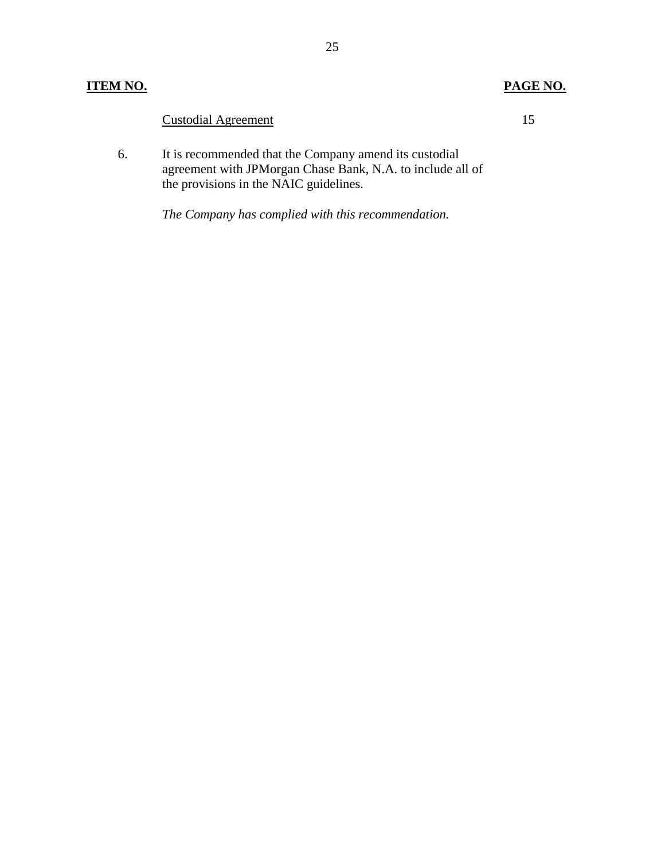## **ITEM NO. PAGE NO.**

## Custodial Agreement 15

6. It is recommended that the Company amend its custodial agreement with JPMorgan Chase Bank, N.A. to include all of the provisions in the NAIC guidelines.

*The Company has complied with this recommendation.*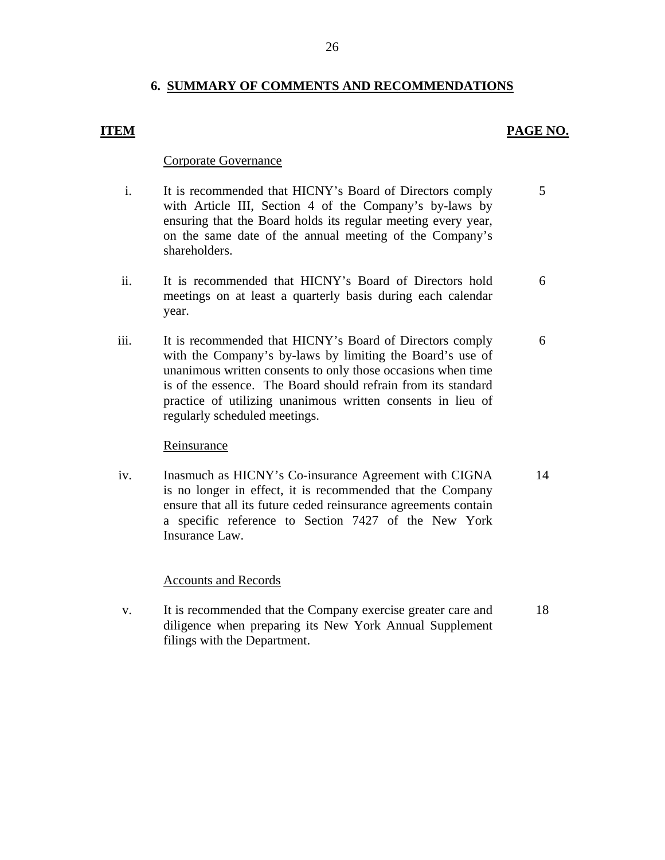## **6. SUMMARY OF COMMENTS AND RECOMMENDATIONS**

## **ITEM PAGE NO.**

6

## Corporate Governance

- i. It is recommended that HICNY's Board of Directors comply with Article III, Section 4 of the Company's by-laws by ensuring that the Board holds its regular meeting every year, on the same date of the annual meeting of the Company's shareholders. 5
- ii. It is recommended that HICNY's Board of Directors hold meetings on at least a quarterly basis during each calendar year. 6
- iii. It is recommended that HICNY's Board of Directors comply with the Company's by-laws by limiting the Board's use of unanimous written consents to only those occasions when time is of the essence. The Board should refrain from its standard practice of utilizing unanimous written consents in lieu of regularly scheduled meetings.

## Reinsurance

iv. Inasmuch as HICNY's Co-insurance Agreement with CIGNA is no longer in effect, it is recommended that the Company ensure that all its future ceded reinsurance agreements contain a specific reference to Section 7427 of the New York Insurance Law. 14

## Accounts and Records

v. It is recommended that the Company exercise greater care and diligence when preparing its New York Annual Supplement filings with the Department. 18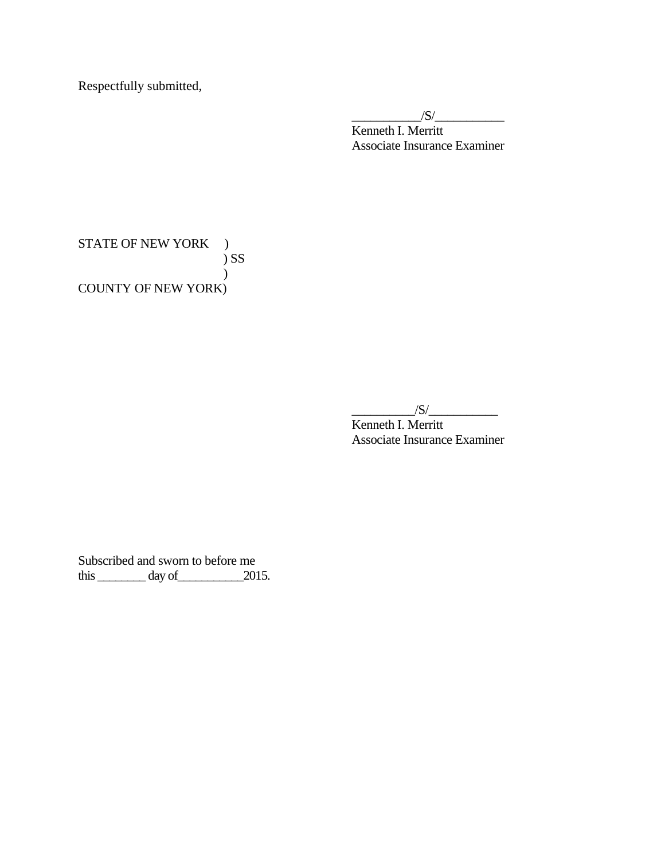Respectfully submitted,

 $\frac{1}{\sqrt{S}}$ Kenneth I. Merritt Associate Insurance Examiner

STATE OF NEW YORK ) ) SS ) COUNTY OF NEW YORK)

 $\frac{|S|}{|S|}$ 

Kenneth I. Merritt Associate Insurance Examiner

Subscribed and sworn to before me  $\frac{3}{2015}$  day of  $\frac{2015}{2015}$ .